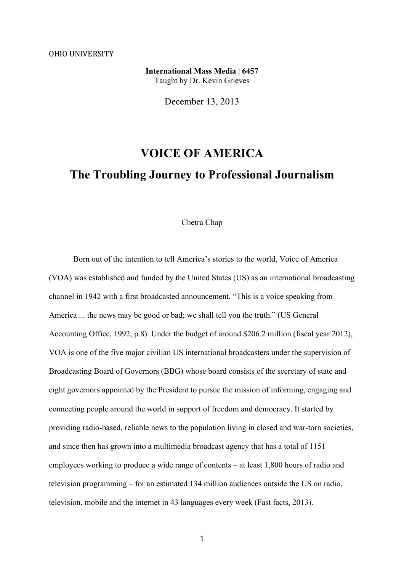**International Mass Media | 6457** Taught by Dr. Kevin Grieves

December 13, 2013

# **VOICE OF AMERICA The Troubling Journey to Professional Journalism**

### Chetra Chap

Born out of the intention to tell America's stories to the world, Voice of America (VOA) was established and funded by the United States (US) as an international broadcasting channel in 1942 with a first broadcasted announcement, "This is a voice speaking from America ... the news may be good or bad; we shall tell you the truth." (US General Accounting Office, 1992, p.8). Under the budget of around \$206.2 million (fiscal year 2012), VOA is one of the five major civilian US international broadcasters under the supervision of Broadcasting Board of Governors (BBG) whose board consists of the secretary of state and eight governors appointed by the President to pursue the mission of informing, engaging and connecting people around the world in support of freedom and democracy. It started by providing radio-based, reliable news to the population living in closed and war-torn societies, and since then has grown into a multimedia broadcast agency that has a total of 1151 employees working to produce a wide range of contents – at least 1,800 hours of radio and television programming – for an estimated 134 million audiences outside the US on radio, television, mobile and the internet in 43 languages every week (Fast facts, 2013).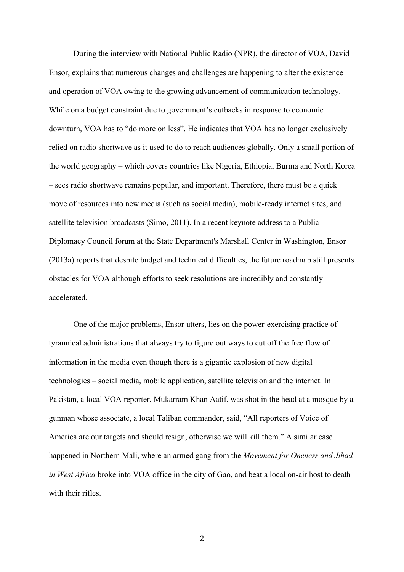During the interview with National Public Radio (NPR), the director of VOA, David Ensor, explains that numerous changes and challenges are happening to alter the existence and operation of VOA owing to the growing advancement of communication technology. While on a budget constraint due to government's cutbacks in response to economic downturn, VOA has to "do more on less". He indicates that VOA has no longer exclusively relied on radio shortwave as it used to do to reach audiences globally. Only a small portion of the world geography – which covers countries like Nigeria, Ethiopia, Burma and North Korea – sees radio shortwave remains popular, and important. Therefore, there must be a quick move of resources into new media (such as social media), mobile-ready internet sites, and satellite television broadcasts (Simo, 2011). In a recent keynote address to a Public Diplomacy Council forum at the State Department's Marshall Center in Washington, Ensor (2013a) reports that despite budget and technical difficulties, the future roadmap still presents obstacles for VOA although efforts to seek resolutions are incredibly and constantly accelerated.

One of the major problems, Ensor utters, lies on the power-exercising practice of tyrannical administrations that always try to figure out ways to cut off the free flow of information in the media even though there is a gigantic explosion of new digital technologies – social media, mobile application, satellite television and the internet. In Pakistan, a local VOA reporter, Mukarram Khan Aatif, was shot in the head at a mosque by a gunman whose associate, a local Taliban commander, said, "All reporters of Voice of America are our targets and should resign, otherwise we will kill them." A similar case happened in Northern Mali, where an armed gang from the *Movement for Oneness and Jihad in West Africa* broke into VOA office in the city of Gao, and beat a local on-air host to death with their rifles.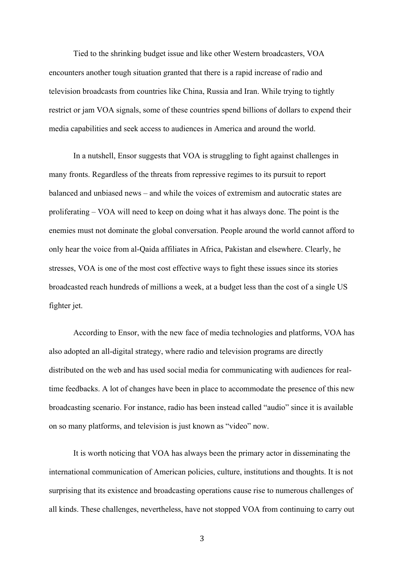Tied to the shrinking budget issue and like other Western broadcasters, VOA encounters another tough situation granted that there is a rapid increase of radio and television broadcasts from countries like China, Russia and Iran. While trying to tightly restrict or jam VOA signals, some of these countries spend billions of dollars to expend their media capabilities and seek access to audiences in America and around the world.

In a nutshell, Ensor suggests that VOA is struggling to fight against challenges in many fronts. Regardless of the threats from repressive regimes to its pursuit to report balanced and unbiased news – and while the voices of extremism and autocratic states are proliferating – VOA will need to keep on doing what it has always done. The point is the enemies must not dominate the global conversation. People around the world cannot afford to only hear the voice from al-Qaida affiliates in Africa, Pakistan and elsewhere. Clearly, he stresses, VOA is one of the most cost effective ways to fight these issues since its stories broadcasted reach hundreds of millions a week, at a budget less than the cost of a single US fighter jet.

According to Ensor, with the new face of media technologies and platforms, VOA has also adopted an all-digital strategy, where radio and television programs are directly distributed on the web and has used social media for communicating with audiences for realtime feedbacks. A lot of changes have been in place to accommodate the presence of this new broadcasting scenario. For instance, radio has been instead called "audio" since it is available on so many platforms, and television is just known as "video" now.

It is worth noticing that VOA has always been the primary actor in disseminating the international communication of American policies, culture, institutions and thoughts. It is not surprising that its existence and broadcasting operations cause rise to numerous challenges of all kinds. These challenges, nevertheless, have not stopped VOA from continuing to carry out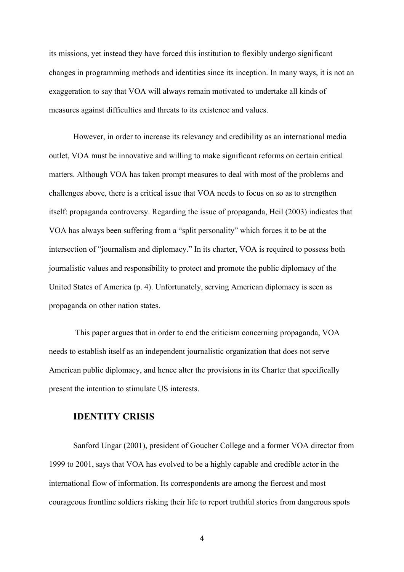its missions, yet instead they have forced this institution to flexibly undergo significant changes in programming methods and identities since its inception. In many ways, it is not an exaggeration to say that VOA will always remain motivated to undertake all kinds of measures against difficulties and threats to its existence and values.

However, in order to increase its relevancy and credibility as an international media outlet, VOA must be innovative and willing to make significant reforms on certain critical matters. Although VOA has taken prompt measures to deal with most of the problems and challenges above, there is a critical issue that VOA needs to focus on so as to strengthen itself: propaganda controversy. Regarding the issue of propaganda, Heil (2003) indicates that VOA has always been suffering from a "split personality" which forces it to be at the intersection of "journalism and diplomacy." In its charter, VOA is required to possess both journalistic values and responsibility to protect and promote the public diplomacy of the United States of America (p. 4). Unfortunately, serving American diplomacy is seen as propaganda on other nation states.

This paper argues that in order to end the criticism concerning propaganda, VOA needs to establish itself as an independent journalistic organization that does not serve American public diplomacy, and hence alter the provisions in its Charter that specifically present the intention to stimulate US interests.

## **IDENTITY CRISIS**

Sanford Ungar (2001), president of Goucher College and a former VOA director from 1999 to 2001, says that VOA has evolved to be a highly capable and credible actor in the international flow of information. Its correspondents are among the fiercest and most courageous frontline soldiers risking their life to report truthful stories from dangerous spots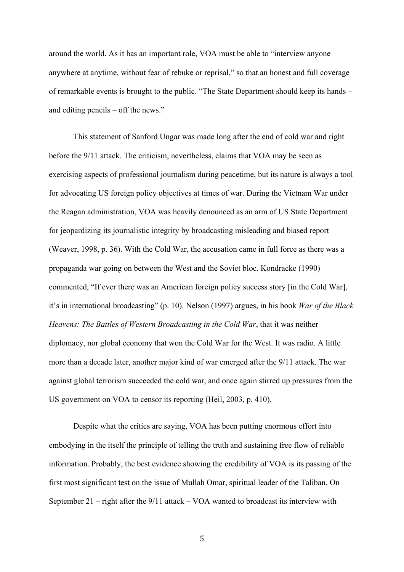around the world. As it has an important role, VOA must be able to "interview anyone anywhere at anytime, without fear of rebuke or reprisal," so that an honest and full coverage of remarkable events is brought to the public. "The State Department should keep its hands – and editing pencils – off the news."

This statement of Sanford Ungar was made long after the end of cold war and right before the 9/11 attack. The criticism, nevertheless, claims that VOA may be seen as exercising aspects of professional journalism during peacetime, but its nature is always a tool for advocating US foreign policy objectives at times of war. During the Vietnam War under the Reagan administration, VOA was heavily denounced as an arm of US State Department for jeopardizing its journalistic integrity by broadcasting misleading and biased report (Weaver, 1998, p. 36). With the Cold War, the accusation came in full force as there was a propaganda war going on between the West and the Soviet bloc. Kondracke (1990) commented, "If ever there was an American foreign policy success story [in the Cold War], it's in international broadcasting" (p. 10). Nelson (1997) argues, in his book *War of the Black Heavens: The Battles of Western Broadcasting in the Cold War*, that it was neither diplomacy, nor global economy that won the Cold War for the West. It was radio. A little more than a decade later, another major kind of war emerged after the 9/11 attack. The war against global terrorism succeeded the cold war, and once again stirred up pressures from the US government on VOA to censor its reporting (Heil, 2003, p. 410).

Despite what the critics are saying, VOA has been putting enormous effort into embodying in the itself the principle of telling the truth and sustaining free flow of reliable information. Probably, the best evidence showing the credibility of VOA is its passing of the first most significant test on the issue of Mullah Omar, spiritual leader of the Taliban. On September 21 – right after the 9/11 attack – VOA wanted to broadcast its interview with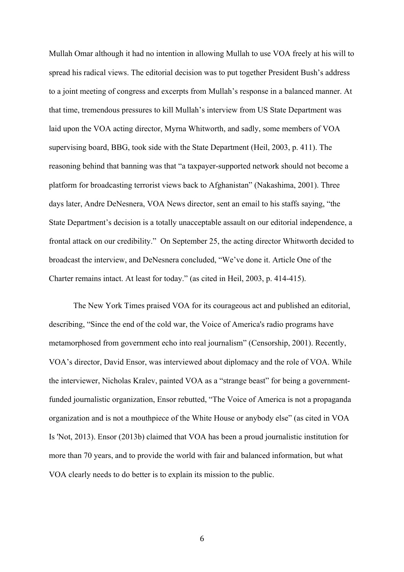Mullah Omar although it had no intention in allowing Mullah to use VOA freely at his will to spread his radical views. The editorial decision was to put together President Bush's address to a joint meeting of congress and excerpts from Mullah's response in a balanced manner. At that time, tremendous pressures to kill Mullah's interview from US State Department was laid upon the VOA acting director, Myrna Whitworth, and sadly, some members of VOA supervising board, BBG, took side with the State Department (Heil, 2003, p. 411). The reasoning behind that banning was that "a taxpayer-supported network should not become a platform for broadcasting terrorist views back to Afghanistan" (Nakashima, 2001). Three days later, Andre DeNesnera, VOA News director, sent an email to his staffs saying, "the State Department's decision is a totally unacceptable assault on our editorial independence, a frontal attack on our credibility." On September 25, the acting director Whitworth decided to broadcast the interview, and DeNesnera concluded, "We've done it. Article One of the Charter remains intact. At least for today." (as cited in Heil, 2003, p. 414-415).

The New York Times praised VOA for its courageous act and published an editorial, describing, "Since the end of the cold war, the Voice of America's radio programs have metamorphosed from government echo into real journalism" (Censorship, 2001). Recently, VOA's director, David Ensor, was interviewed about diplomacy and the role of VOA. While the interviewer, Nicholas Kralev, painted VOA as a "strange beast" for being a governmentfunded journalistic organization, Ensor rebutted, "The Voice of America is not a propaganda organization and is not a mouthpiece of the White House or anybody else" (as cited in VOA Is 'Not, 2013). Ensor (2013b) claimed that VOA has been a proud journalistic institution for more than 70 years, and to provide the world with fair and balanced information, but what VOA clearly needs to do better is to explain its mission to the public.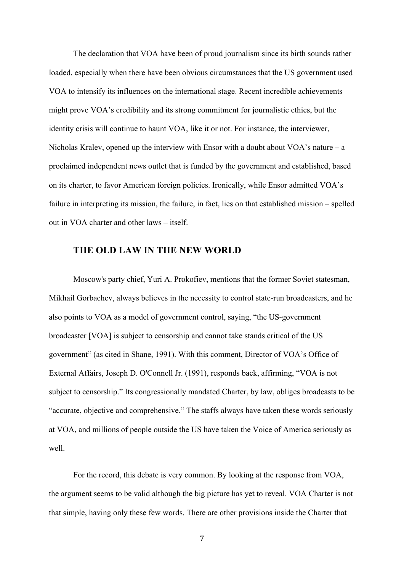The declaration that VOA have been of proud journalism since its birth sounds rather loaded, especially when there have been obvious circumstances that the US government used VOA to intensify its influences on the international stage. Recent incredible achievements might prove VOA's credibility and its strong commitment for journalistic ethics, but the identity crisis will continue to haunt VOA, like it or not. For instance, the interviewer, Nicholas Kralev, opened up the interview with Ensor with a doubt about VOA's nature  $-a$ proclaimed independent news outlet that is funded by the government and established, based on its charter, to favor American foreign policies. Ironically, while Ensor admitted VOA's failure in interpreting its mission, the failure, in fact, lies on that established mission – spelled out in VOA charter and other laws – itself.

# **THE OLD LAW IN THE NEW WORLD**

Moscow's party chief, Yuri A. Prokofiev, mentions that the former Soviet statesman, Mikhail Gorbachev, always believes in the necessity to control state-run broadcasters, and he also points to VOA as a model of government control, saying, "the US-government broadcaster [VOA] is subject to censorship and cannot take stands critical of the US government" (as cited in Shane, 1991). With this comment, Director of VOA's Office of External Affairs, Joseph D. O'Connell Jr. (1991), responds back, affirming, "VOA is not subject to censorship." Its congressionally mandated Charter, by law, obliges broadcasts to be "accurate, objective and comprehensive." The staffs always have taken these words seriously at VOA, and millions of people outside the US have taken the Voice of America seriously as well.

For the record, this debate is very common. By looking at the response from VOA, the argument seems to be valid although the big picture has yet to reveal. VOA Charter is not that simple, having only these few words. There are other provisions inside the Charter that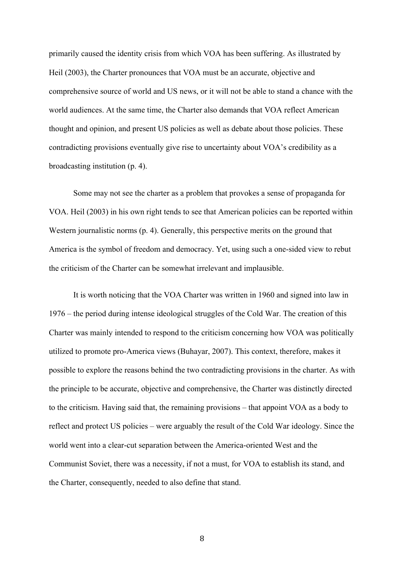primarily caused the identity crisis from which VOA has been suffering. As illustrated by Heil (2003), the Charter pronounces that VOA must be an accurate, objective and comprehensive source of world and US news, or it will not be able to stand a chance with the world audiences. At the same time, the Charter also demands that VOA reflect American thought and opinion, and present US policies as well as debate about those policies. These contradicting provisions eventually give rise to uncertainty about VOA's credibility as a broadcasting institution (p. 4).

Some may not see the charter as a problem that provokes a sense of propaganda for VOA. Heil (2003) in his own right tends to see that American policies can be reported within Western journalistic norms (p. 4). Generally, this perspective merits on the ground that America is the symbol of freedom and democracy. Yet, using such a one-sided view to rebut the criticism of the Charter can be somewhat irrelevant and implausible.

It is worth noticing that the VOA Charter was written in 1960 and signed into law in 1976 – the period during intense ideological struggles of the Cold War. The creation of this Charter was mainly intended to respond to the criticism concerning how VOA was politically utilized to promote pro-America views (Buhayar, 2007). This context, therefore, makes it possible to explore the reasons behind the two contradicting provisions in the charter. As with the principle to be accurate, objective and comprehensive, the Charter was distinctly directed to the criticism. Having said that, the remaining provisions – that appoint VOA as a body to reflect and protect US policies – were arguably the result of the Cold War ideology. Since the world went into a clear-cut separation between the America-oriented West and the Communist Soviet, there was a necessity, if not a must, for VOA to establish its stand, and the Charter, consequently, needed to also define that stand.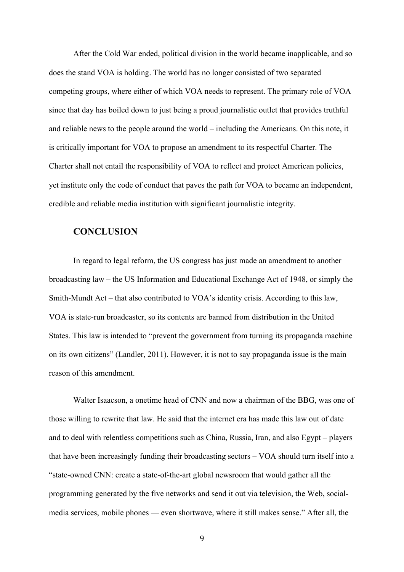After the Cold War ended, political division in the world became inapplicable, and so does the stand VOA is holding. The world has no longer consisted of two separated competing groups, where either of which VOA needs to represent. The primary role of VOA since that day has boiled down to just being a proud journalistic outlet that provides truthful and reliable news to the people around the world – including the Americans. On this note, it is critically important for VOA to propose an amendment to its respectful Charter. The Charter shall not entail the responsibility of VOA to reflect and protect American policies, yet institute only the code of conduct that paves the path for VOA to became an independent, credible and reliable media institution with significant journalistic integrity.

## **CONCLUSION**

In regard to legal reform, the US congress has just made an amendment to another broadcasting law – the US Information and Educational Exchange Act of 1948, or simply the Smith-Mundt Act – that also contributed to VOA's identity crisis. According to this law, VOA is state-run broadcaster, so its contents are banned from distribution in the United States. This law is intended to "prevent the government from turning its propaganda machine on its own citizens" (Landler, 2011). However, it is not to say propaganda issue is the main reason of this amendment.

Walter Isaacson, a onetime head of CNN and now a chairman of the BBG, was one of those willing to rewrite that law. He said that the internet era has made this law out of date and to deal with relentless competitions such as China, Russia, Iran, and also Egypt – players that have been increasingly funding their broadcasting sectors – VOA should turn itself into a "state-owned CNN: create a state-of-the-art global newsroom that would gather all the programming generated by the five networks and send it out via television, the Web, socialmedia services, mobile phones — even shortwave, where it still makes sense." After all, the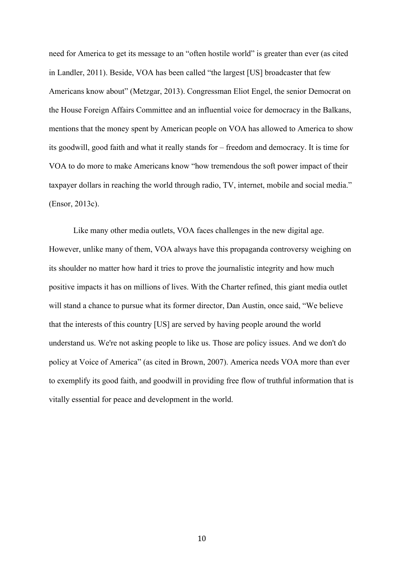need for America to get its message to an "often hostile world" is greater than ever (as cited in Landler, 2011). Beside, VOA has been called "the largest [US] broadcaster that few Americans know about" (Metzgar, 2013). Congressman Eliot Engel, the senior Democrat on the House Foreign Affairs Committee and an influential voice for democracy in the Balkans, mentions that the money spent by American people on VOA has allowed to America to show its goodwill, good faith and what it really stands for – freedom and democracy. It is time for VOA to do more to make Americans know "how tremendous the soft power impact of their taxpayer dollars in reaching the world through radio, TV, internet, mobile and social media." (Ensor, 2013c).

Like many other media outlets, VOA faces challenges in the new digital age. However, unlike many of them, VOA always have this propaganda controversy weighing on its shoulder no matter how hard it tries to prove the journalistic integrity and how much positive impacts it has on millions of lives. With the Charter refined, this giant media outlet will stand a chance to pursue what its former director, Dan Austin, once said, "We believe that the interests of this country [US] are served by having people around the world understand us. We're not asking people to like us. Those are policy issues. And we don't do policy at Voice of America" (as cited in Brown, 2007). America needs VOA more than ever to exemplify its good faith, and goodwill in providing free flow of truthful information that is vitally essential for peace and development in the world.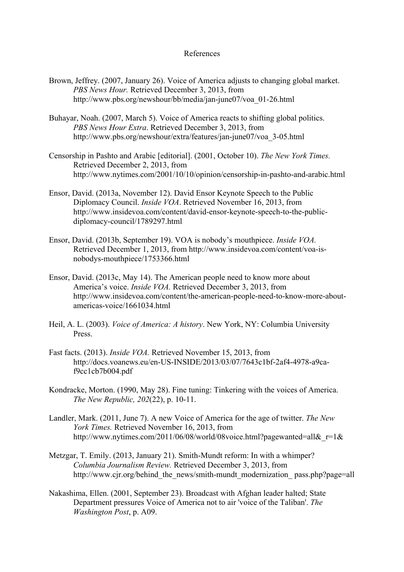### References

- Brown, Jeffrey. (2007, January 26). Voice of America adjusts to changing global market. *PBS News Hour.* Retrieved December 3, 2013, from http://www.pbs.org/newshour/bb/media/jan-june07/voa\_01-26.html
- Buhayar, Noah. (2007, March 5). Voice of America reacts to shifting global politics. *PBS News Hour Extra*. Retrieved December 3, 2013, from http://www.pbs.org/newshour/extra/features/jan-june07/voa\_3-05.html
- Censorship in Pashto and Arabic [editorial]. (2001, October 10). *The New York Times.* Retrieved December 2, 2013, from http://www.nytimes.com/2001/10/10/opinion/censorship-in-pashto-and-arabic.html
- Ensor, David. (2013a, November 12). David Ensor Keynote Speech to the Public Diplomacy Council. *Inside VOA*. Retrieved November 16, 2013, from http://www.insidevoa.com/content/david-ensor-keynote-speech-to-the-publicdiplomacy-council/1789297.html
- Ensor, David. (2013b, September 19). VOA is nobody's mouthpiece. *Inside VOA.* Retrieved December 1, 2013, from http://www.insidevoa.com/content/voa-isnobodys-mouthpiece/1753366.html
- Ensor, David. (2013c, May 14). The American people need to know more about America's voice. *Inside VOA.* Retrieved December 3, 2013, from http://www.insidevoa.com/content/the-american-people-need-to-know-more-aboutamericas-voice/1661034.html
- Heil, A. L. (2003). *Voice of America: A history*. New York, NY: Columbia University Press.
- Fast facts. (2013). *Inside VOA.* Retrieved November 15, 2013, from http://docs.voanews.eu/en-US-INSIDE/2013/03/07/7643c1bf-2af4-4978-a9caf9cc1cb7b004.pdf
- Kondracke, Morton. (1990, May 28). Fine tuning: Tinkering with the voices of America. *The New Republic, 202*(22), p. 10-11.
- Landler, Mark. (2011, June 7). A new Voice of America for the age of twitter. *The New York Times.* Retrieved November 16, 2013, from http://www.nytimes.com/2011/06/08/world/08voice.html?pagewanted=all& $r=1$ &
- Metzgar, T. Emily. (2013, January 21). Smith-Mundt reform: In with a whimper? *Columbia Journalism Review.* Retrieved December 3, 2013, from http://www.cjr.org/behind\_the\_news/smith-mundt\_modernization\_pass.php?page=all
- Nakashima, Ellen. (2001, September 23). Broadcast with Afghan leader halted; State Department pressures Voice of America not to air 'voice of the Taliban'. *The Washington Post*, p. A09.